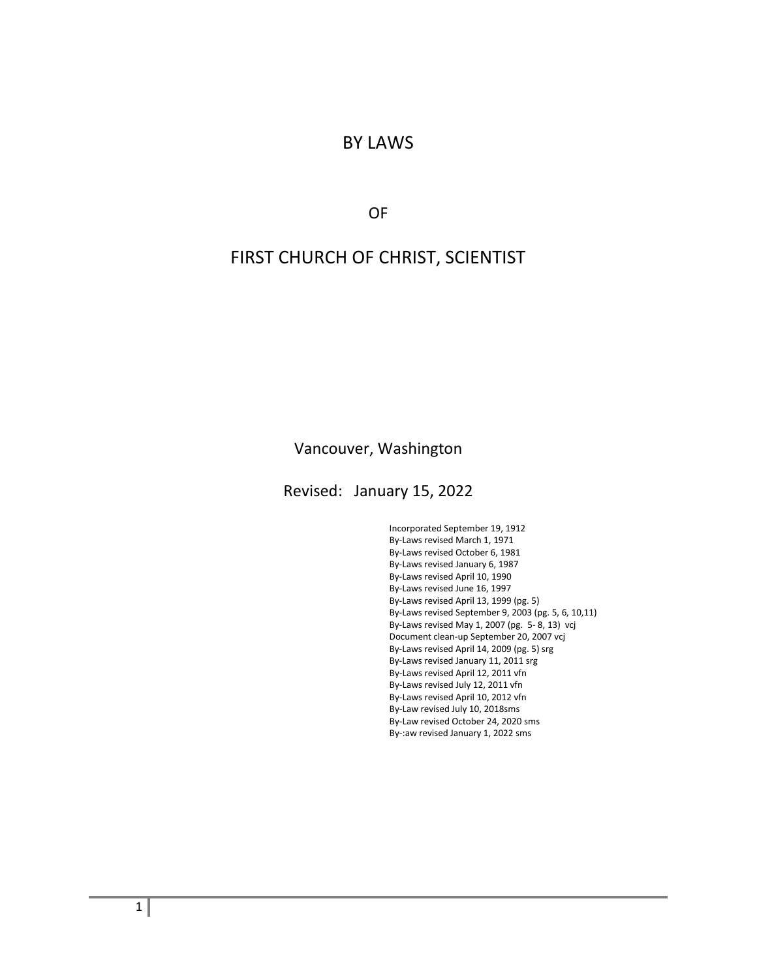#### BY LAWS

OF

### FIRST CHURCH OF CHRIST, SCIENTIST

#### Vancouver, Washington

Revised: January 15, 2022

Incorporated September 19, 1912 By-Laws revised March 1, 1971 By-Laws revised October 6, 1981 By-Laws revised January 6, 1987 By-Laws revised April 10, 1990 By-Laws revised June 16, 1997 By-Laws revised April 13, 1999 (pg. 5) By-Laws revised September 9, 2003 (pg. 5, 6, 10,11) By-Laws revised May 1, 2007 (pg. 5- 8, 13) vcj Document clean-up September 20, 2007 vcj By-Laws revised April 14, 2009 (pg. 5) srg By-Laws revised January 11, 2011 srg By-Laws revised April 12, 2011 vfn By-Laws revised July 12, 2011 vfn By-Laws revised April 10, 2012 vfn By-Law revised July 10, 2018sms By-Law revised October 24, 2020 sms By-:aw revised January 1, 2022 sms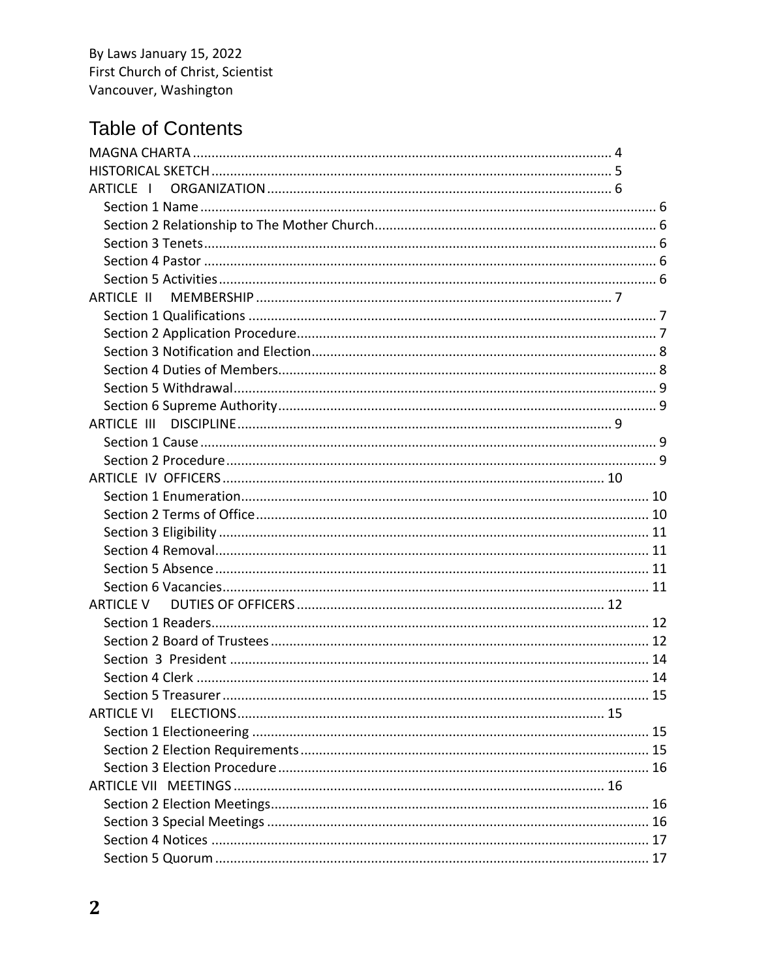# **Table of Contents**

| ARTICLE I         |  |
|-------------------|--|
|                   |  |
|                   |  |
|                   |  |
|                   |  |
|                   |  |
| ARTICLE II        |  |
|                   |  |
|                   |  |
|                   |  |
|                   |  |
|                   |  |
|                   |  |
|                   |  |
|                   |  |
|                   |  |
|                   |  |
|                   |  |
|                   |  |
|                   |  |
|                   |  |
|                   |  |
|                   |  |
| <b>ARTICLE V</b>  |  |
|                   |  |
|                   |  |
|                   |  |
|                   |  |
|                   |  |
| <b>ARTICLE VI</b> |  |
|                   |  |
|                   |  |
|                   |  |
|                   |  |
|                   |  |
|                   |  |
|                   |  |
|                   |  |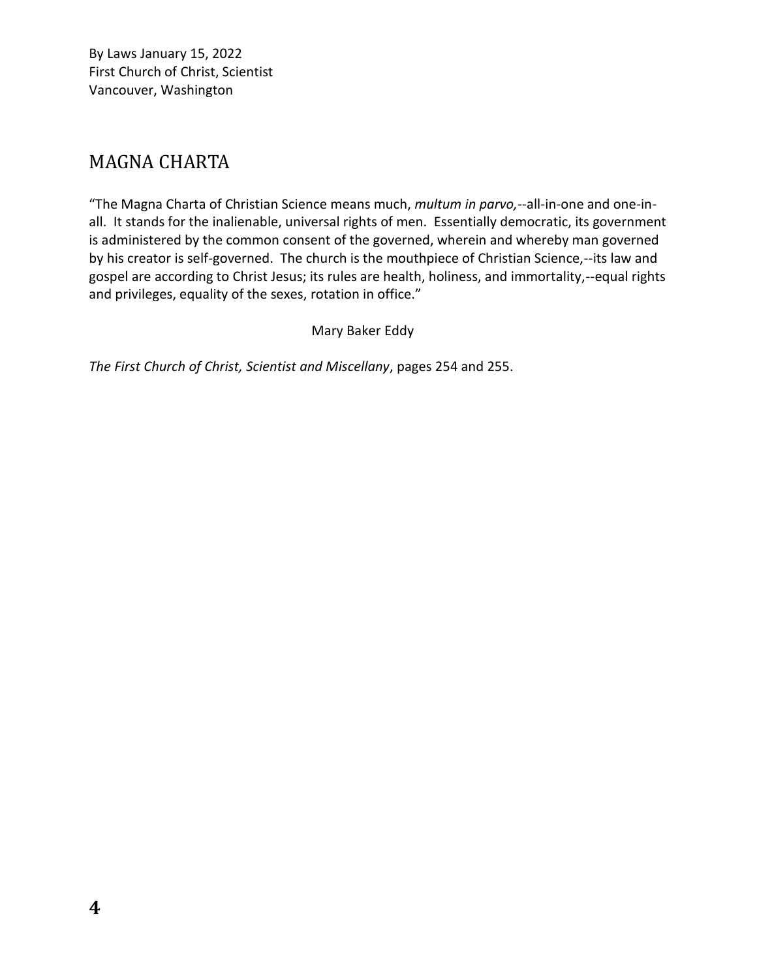## <span id="page-3-0"></span>MAGNA CHARTA

"The Magna Charta of Christian Science means much, *multum in parvo,*--all-in-one and one-inall. It stands for the inalienable, universal rights of men. Essentially democratic, its government is administered by the common consent of the governed, wherein and whereby man governed by his creator is self-governed. The church is the mouthpiece of Christian Science,--its law and gospel are according to Christ Jesus; its rules are health, holiness, and immortality,--equal rights and privileges, equality of the sexes, rotation in office."

Mary Baker Eddy

*The First Church of Christ, Scientist and Miscellany*, pages 254 and 255.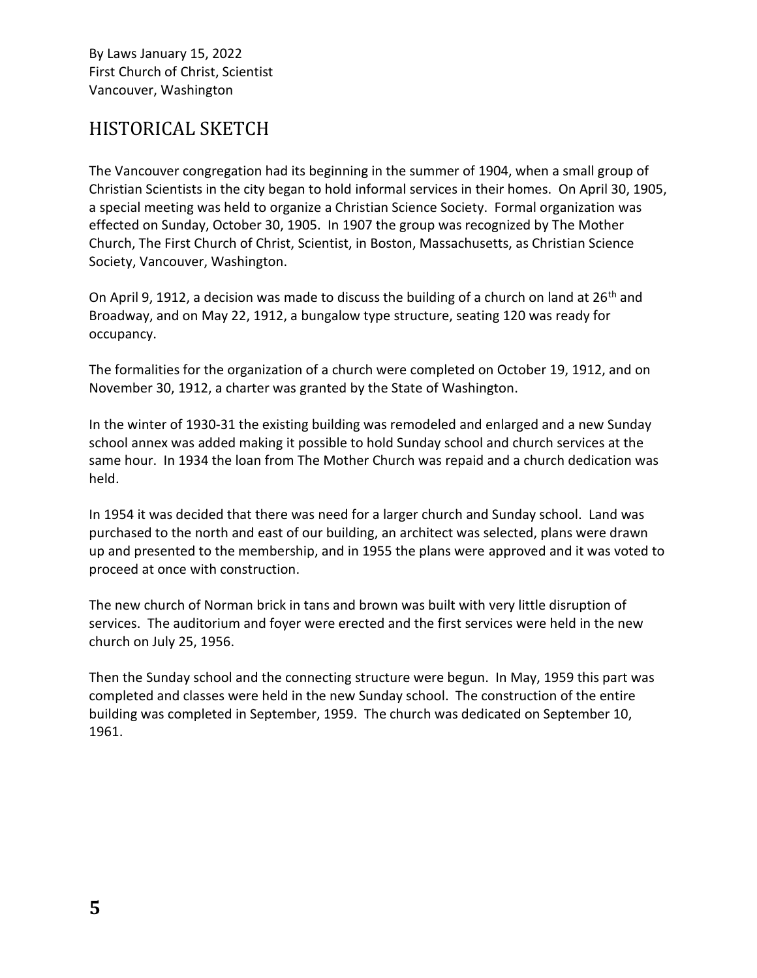## <span id="page-4-0"></span>HISTORICAL SKETCH

The Vancouver congregation had its beginning in the summer of 1904, when a small group of Christian Scientists in the city began to hold informal services in their homes. On April 30, 1905, a special meeting was held to organize a Christian Science Society. Formal organization was effected on Sunday, October 30, 1905. In 1907 the group was recognized by The Mother Church, The First Church of Christ, Scientist, in Boston, Massachusetts, as Christian Science Society, Vancouver, Washington.

On April 9, 1912, a decision was made to discuss the building of a church on land at 26<sup>th</sup> and Broadway, and on May 22, 1912, a bungalow type structure, seating 120 was ready for occupancy.

The formalities for the organization of a church were completed on October 19, 1912, and on November 30, 1912, a charter was granted by the State of Washington.

In the winter of 1930-31 the existing building was remodeled and enlarged and a new Sunday school annex was added making it possible to hold Sunday school and church services at the same hour. In 1934 the loan from The Mother Church was repaid and a church dedication was held.

In 1954 it was decided that there was need for a larger church and Sunday school. Land was purchased to the north and east of our building, an architect was selected, plans were drawn up and presented to the membership, and in 1955 the plans were approved and it was voted to proceed at once with construction.

The new church of Norman brick in tans and brown was built with very little disruption of services. The auditorium and foyer were erected and the first services were held in the new church on July 25, 1956.

Then the Sunday school and the connecting structure were begun. In May, 1959 this part was completed and classes were held in the new Sunday school. The construction of the entire building was completed in September, 1959. The church was dedicated on September 10, 1961.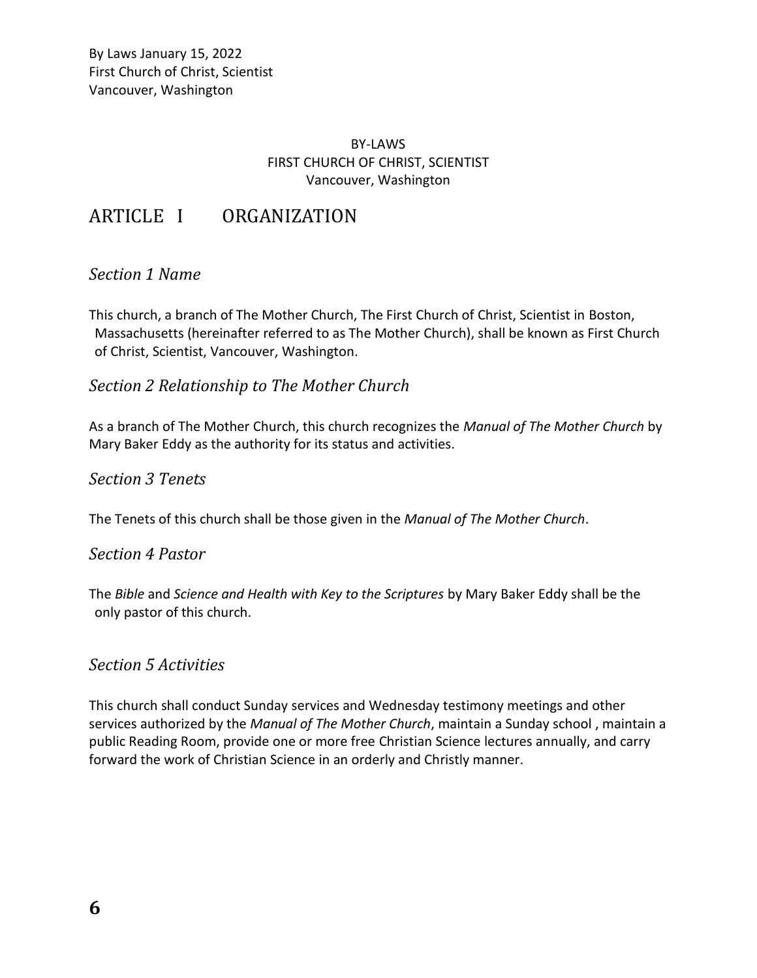#### BY-LAWS FIRST CHURCH OF CHRIST, SCIENTIST Vancouver, Washington

### <span id="page-5-0"></span>ARTICLE I ORGANIZATION

#### <span id="page-5-1"></span>*Section 1 Name*

This church, a branch of The Mother Church, The First Church of Christ, Scientist in Boston, Massachusetts (hereinafter referred to as The Mother Church), shall be known as First Church of Christ, Scientist, Vancouver, Washington.

#### <span id="page-5-2"></span>*Section 2 Relationship to The Mother Church*

As a branch of The Mother Church, this church recognizes the *Manual of The Mother Church* by Mary Baker Eddy as the authority for its status and activities.

#### <span id="page-5-3"></span>*Section 3 Tenets*

<span id="page-5-4"></span>The Tenets of this church shall be those given in the *Manual of The Mother Church*.

#### *Section 4 Pastor*

The *Bible* and *Science and Health with Key to the Scriptures* by Mary Baker Eddy shall be the only pastor of this church.

#### <span id="page-5-5"></span>*Section 5 Activities*

This church shall conduct Sunday services and Wednesday testimony meetings and other services authorized by the *Manual of The Mother Church*, maintain a Sunday school , maintain a public Reading Room, provide one or more free Christian Science lectures annually, and carry forward the work of Christian Science in an orderly and Christly manner.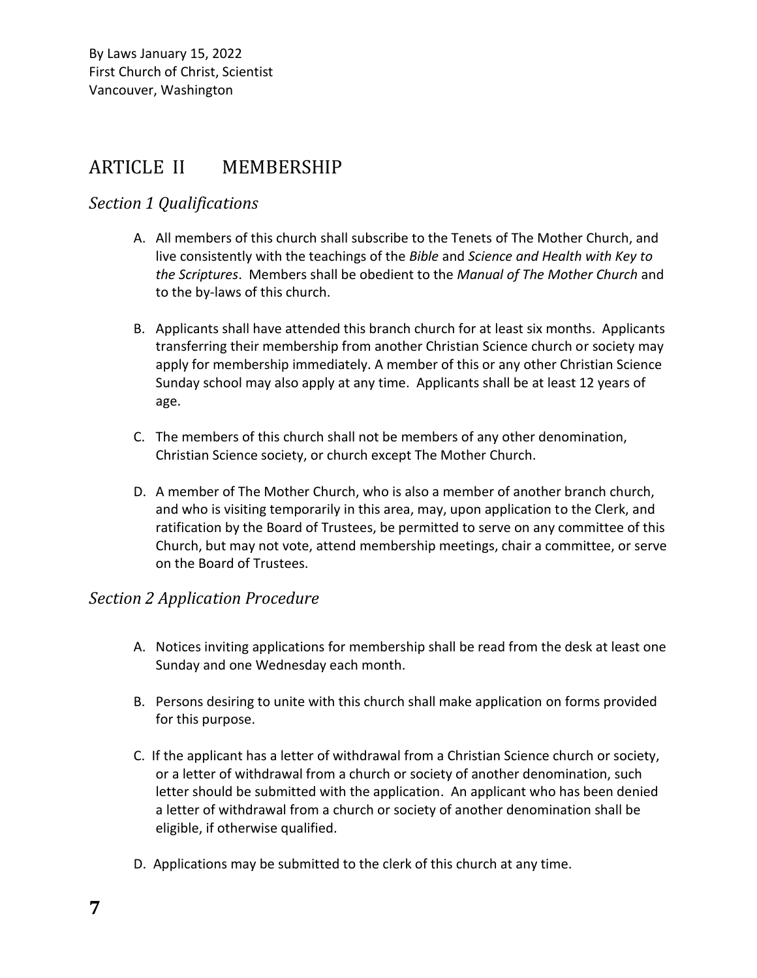## <span id="page-6-0"></span>ARTICLE II MEMBERSHIP

### <span id="page-6-1"></span>*Section 1 Qualifications*

- A. All members of this church shall subscribe to the Tenets of The Mother Church, and live consistently with the teachings of the *Bible* and *Science and Health with Key to the Scriptures*. Members shall be obedient to the *Manual of The Mother Church* and to the by-laws of this church.
- B. Applicants shall have attended this branch church for at least six months. Applicants transferring their membership from another Christian Science church or society may apply for membership immediately. A member of this or any other Christian Science Sunday school may also apply at any time. Applicants shall be at least 12 years of age.
- C. The members of this church shall not be members of any other denomination, Christian Science society, or church except The Mother Church.
- D. A member of The Mother Church, who is also a member of another branch church, and who is visiting temporarily in this area, may, upon application to the Clerk, and ratification by the Board of Trustees, be permitted to serve on any committee of this Church, but may not vote, attend membership meetings, chair a committee, or serve on the Board of Trustees.

### <span id="page-6-2"></span>*Section 2 Application Procedure*

- A. Notices inviting applications for membership shall be read from the desk at least one Sunday and one Wednesday each month.
- B. Persons desiring to unite with this church shall make application on forms provided for this purpose.
- C. If the applicant has a letter of withdrawal from a Christian Science church or society, or a letter of withdrawal from a church or society of another denomination, such letter should be submitted with the application. An applicant who has been denied a letter of withdrawal from a church or society of another denomination shall be eligible, if otherwise qualified.
- D. Applications may be submitted to the clerk of this church at any time.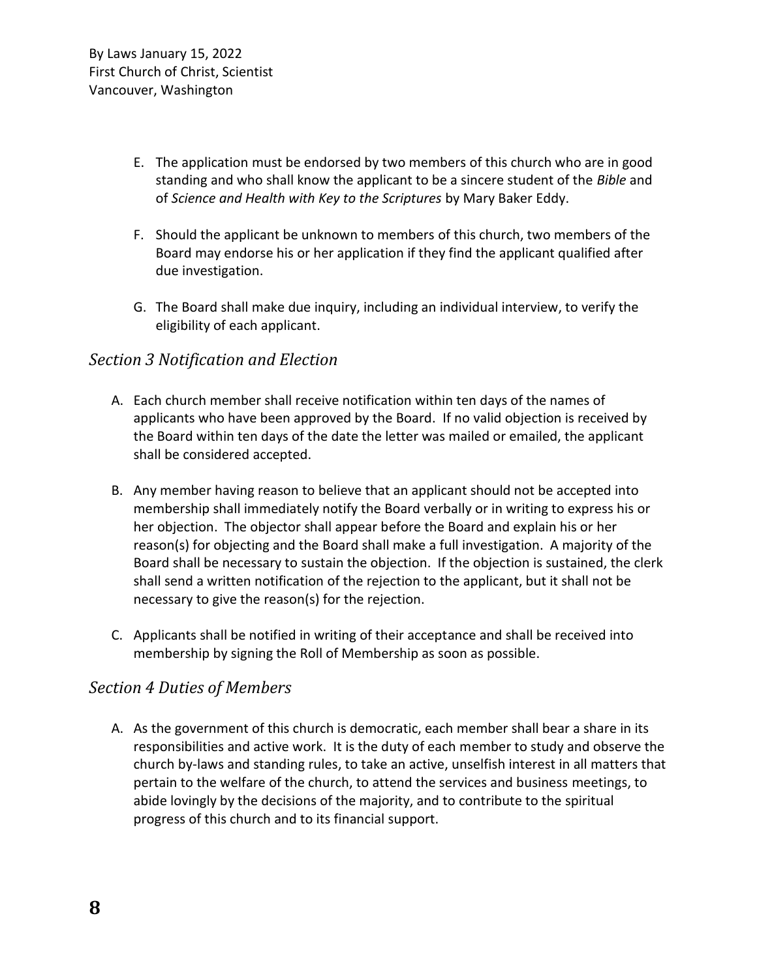- E. The application must be endorsed by two members of this church who are in good standing and who shall know the applicant to be a sincere student of the *Bible* and of *Science and Health with Key to the Scriptures* by Mary Baker Eddy.
- F. Should the applicant be unknown to members of this church, two members of the Board may endorse his or her application if they find the applicant qualified after due investigation.
- G. The Board shall make due inquiry, including an individual interview, to verify the eligibility of each applicant.

### <span id="page-7-0"></span>*Section 3 Notification and Election*

- A. Each church member shall receive notification within ten days of the names of applicants who have been approved by the Board. If no valid objection is received by the Board within ten days of the date the letter was mailed or emailed, the applicant shall be considered accepted.
- B. Any member having reason to believe that an applicant should not be accepted into membership shall immediately notify the Board verbally or in writing to express his or her objection. The objector shall appear before the Board and explain his or her reason(s) for objecting and the Board shall make a full investigation. A majority of the Board shall be necessary to sustain the objection. If the objection is sustained, the clerk shall send a written notification of the rejection to the applicant, but it shall not be necessary to give the reason(s) for the rejection.
- C. Applicants shall be notified in writing of their acceptance and shall be received into membership by signing the Roll of Membership as soon as possible.

### <span id="page-7-1"></span>*Section 4 Duties of Members*

A. As the government of this church is democratic, each member shall bear a share in its responsibilities and active work. It is the duty of each member to study and observe the church by-laws and standing rules, to take an active, unselfish interest in all matters that pertain to the welfare of the church, to attend the services and business meetings, to abide lovingly by the decisions of the majority, and to contribute to the spiritual progress of this church and to its financial support.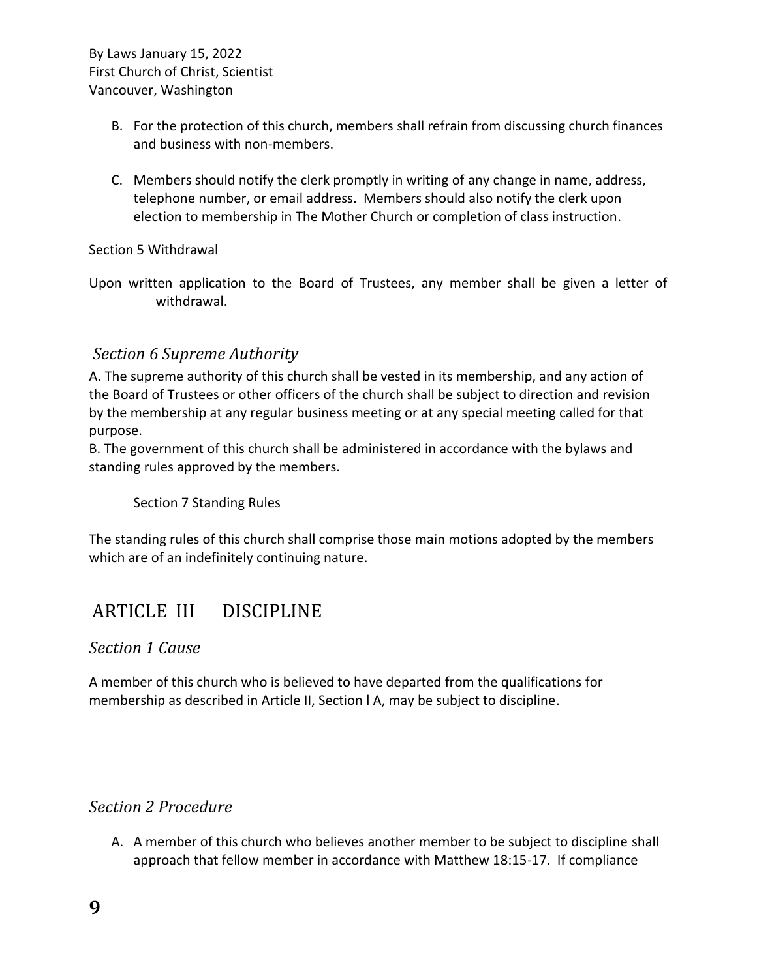- B. For the protection of this church, members shall refrain from discussing church finances and business with non-members.
- C. Members should notify the clerk promptly in writing of any change in name, address, telephone number, or email address. Members should also notify the clerk upon election to membership in The Mother Church or completion of class instruction.

#### <span id="page-8-0"></span>Section 5 Withdrawal

Upon written application to the Board of Trustees, any member shall be given a letter of withdrawal.

#### <span id="page-8-1"></span>*Section 6 Supreme Authority*

A. The supreme authority of this church shall be vested in its membership, and any action of the Board of Trustees or other officers of the church shall be subject to direction and revision by the membership at any regular business meeting or at any special meeting called for that purpose.

B. The government of this church shall be administered in accordance with the bylaws and standing rules approved by the members.

Section 7 Standing Rules

The standing rules of this church shall comprise those main motions adopted by the members which are of an indefinitely continuing nature.

### <span id="page-8-2"></span>ARTICLE III DISCIPLINE

#### <span id="page-8-3"></span>*Section 1 Cause*

A member of this church who is believed to have departed from the qualifications for membership as described in Article II, Section l A, may be subject to discipline.

#### <span id="page-8-4"></span>*Section 2 Procedure*

A. A member of this church who believes another member to be subject to discipline shall approach that fellow member in accordance with Matthew 18:15-17. If compliance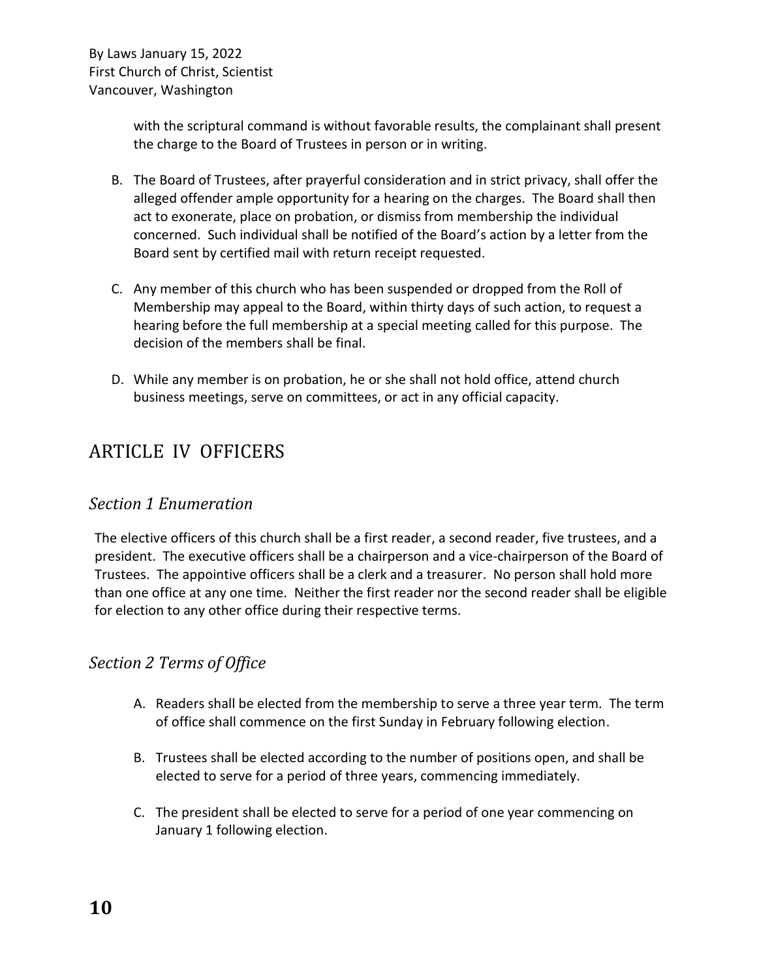with the scriptural command is without favorable results, the complainant shall present the charge to the Board of Trustees in person or in writing.

- B. The Board of Trustees, after prayerful consideration and in strict privacy, shall offer the alleged offender ample opportunity for a hearing on the charges. The Board shall then act to exonerate, place on probation, or dismiss from membership the individual concerned. Such individual shall be notified of the Board's action by a letter from the Board sent by certified mail with return receipt requested.
- C. Any member of this church who has been suspended or dropped from the Roll of Membership may appeal to the Board, within thirty days of such action, to request a hearing before the full membership at a special meeting called for this purpose. The decision of the members shall be final.
- D. While any member is on probation, he or she shall not hold office, attend church business meetings, serve on committees, or act in any official capacity.

## <span id="page-9-0"></span>ARTICLE IV OFFICERS

### <span id="page-9-1"></span>*Section 1 Enumeration*

The elective officers of this church shall be a first reader, a second reader, five trustees, and a president. The executive officers shall be a chairperson and a vice-chairperson of the Board of Trustees. The appointive officers shall be a clerk and a treasurer. No person shall hold more than one office at any one time. Neither the first reader nor the second reader shall be eligible for election to any other office during their respective terms.

### <span id="page-9-2"></span>*Section 2 Terms of Office*

- A. Readers shall be elected from the membership to serve a three year term. The term of office shall commence on the first Sunday in February following election.
- B. Trustees shall be elected according to the number of positions open, and shall be elected to serve for a period of three years, commencing immediately.
- C. The president shall be elected to serve for a period of one year commencing on January 1 following election.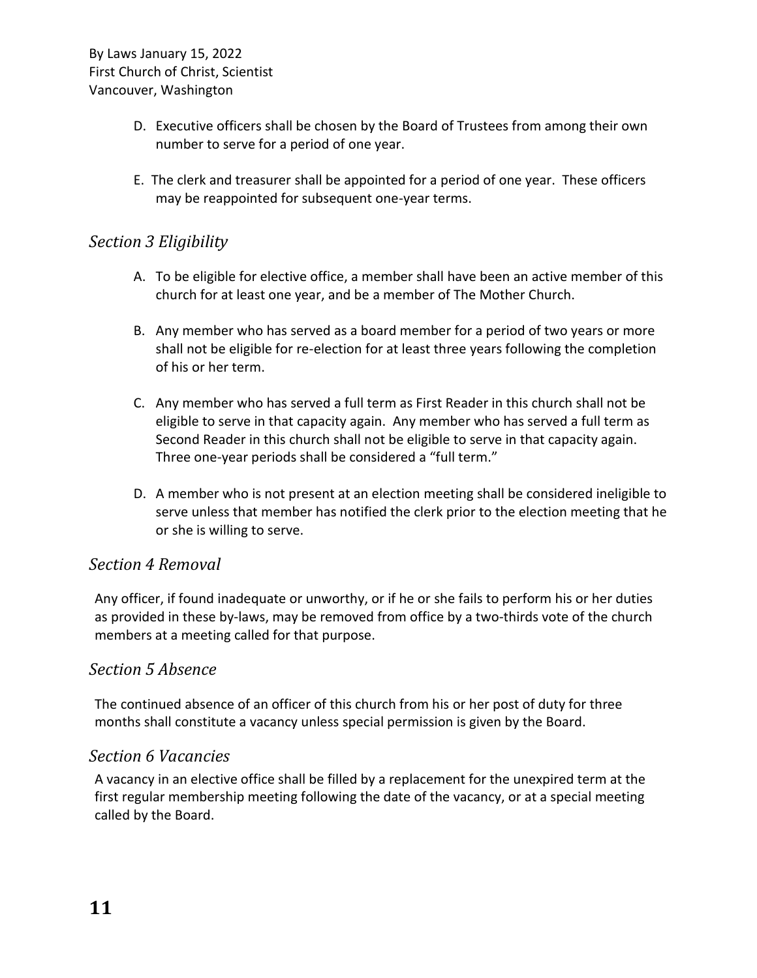- D. Executive officers shall be chosen by the Board of Trustees from among their own number to serve for a period of one year.
- E. The clerk and treasurer shall be appointed for a period of one year. These officers may be reappointed for subsequent one-year terms.

### <span id="page-10-0"></span>*Section 3 Eligibility*

- A. To be eligible for elective office, a member shall have been an active member of this church for at least one year, and be a member of The Mother Church.
- B. Any member who has served as a board member for a period of two years or more shall not be eligible for re-election for at least three years following the completion of his or her term.
- C. Any member who has served a full term as First Reader in this church shall not be eligible to serve in that capacity again. Any member who has served a full term as Second Reader in this church shall not be eligible to serve in that capacity again. Three one-year periods shall be considered a "full term."
- D. A member who is not present at an election meeting shall be considered ineligible to serve unless that member has notified the clerk prior to the election meeting that he or she is willing to serve.

#### <span id="page-10-1"></span>*Section 4 Removal*

Any officer, if found inadequate or unworthy, or if he or she fails to perform his or her duties as provided in these by-laws, may be removed from office by a two-thirds vote of the church members at a meeting called for that purpose.

#### <span id="page-10-2"></span>*Section 5 Absence*

The continued absence of an officer of this church from his or her post of duty for three months shall constitute a vacancy unless special permission is given by the Board.

#### <span id="page-10-3"></span>*Section 6 Vacancies*

A vacancy in an elective office shall be filled by a replacement for the unexpired term at the first regular membership meeting following the date of the vacancy, or at a special meeting called by the Board.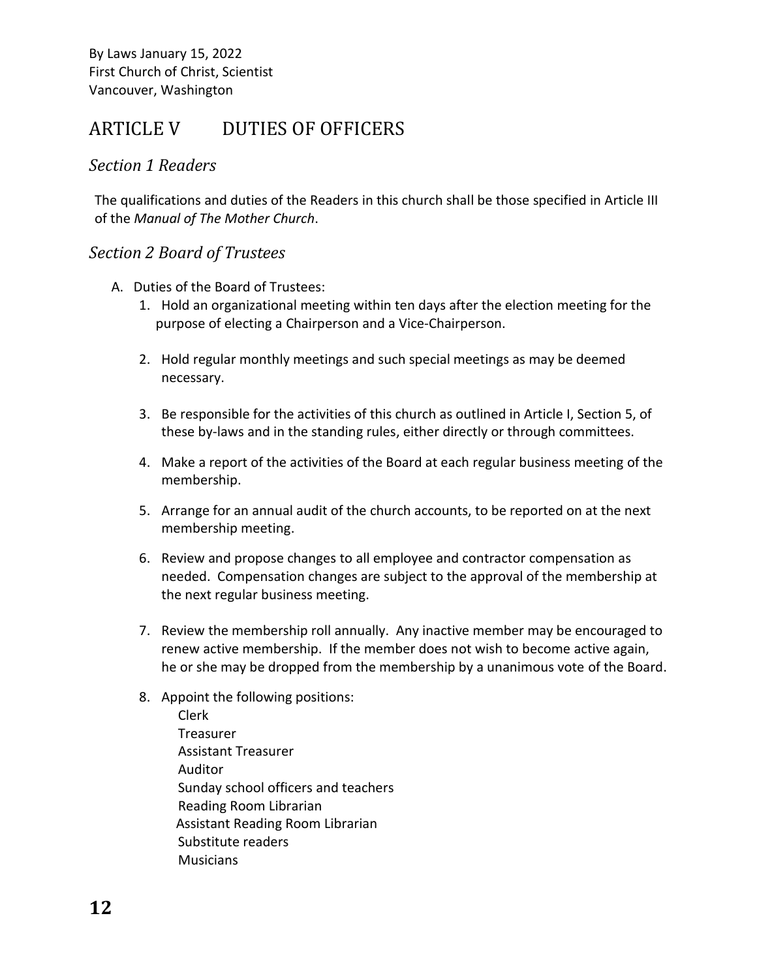## <span id="page-11-0"></span>ARTICLE V DUTIES OF OFFICERS

#### <span id="page-11-1"></span>*Section 1 Readers*

The qualifications and duties of the Readers in this church shall be those specified in Article III of the *Manual of The Mother Church*.

#### <span id="page-11-2"></span>*Section 2 Board of Trustees*

- A. Duties of the Board of Trustees:
	- 1. Hold an organizational meeting within ten days after the election meeting for the purpose of electing a Chairperson and a Vice-Chairperson.
	- 2. Hold regular monthly meetings and such special meetings as may be deemed necessary.
	- 3. Be responsible for the activities of this church as outlined in Article I, Section 5, of these by-laws and in the standing rules, either directly or through committees.
	- 4. Make a report of the activities of the Board at each regular business meeting of the membership.
	- 5. Arrange for an annual audit of the church accounts, to be reported on at the next membership meeting.
	- 6. Review and propose changes to all employee and contractor compensation as needed. Compensation changes are subject to the approval of the membership at the next regular business meeting.
	- 7. Review the membership roll annually. Any inactive member may be encouraged to renew active membership. If the member does not wish to become active again, he or she may be dropped from the membership by a unanimous vote of the Board.
	- 8. Appoint the following positions:
		- Clerk Treasurer Assistant Treasurer Auditor Sunday school officers and teachers Reading Room Librarian Assistant Reading Room Librarian Substitute readers Musicians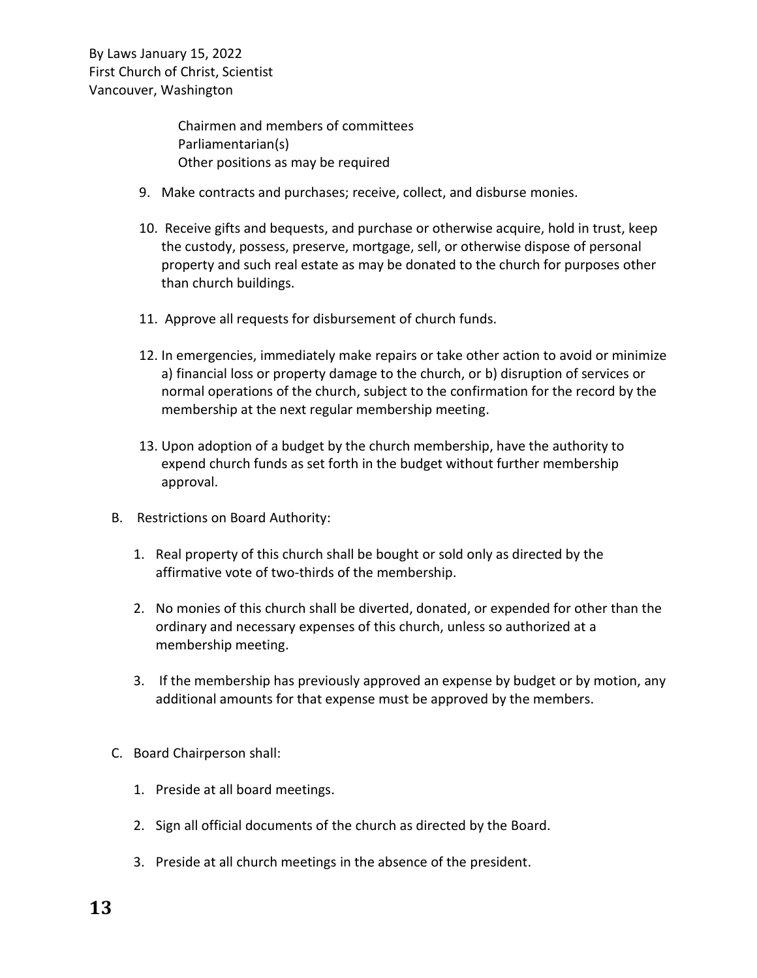> Chairmen and members of committees Parliamentarian(s) Other positions as may be required

- 9. Make contracts and purchases; receive, collect, and disburse monies.
- 10. Receive gifts and bequests, and purchase or otherwise acquire, hold in trust, keep the custody, possess, preserve, mortgage, sell, or otherwise dispose of personal property and such real estate as may be donated to the church for purposes other than church buildings.
- 11. Approve all requests for disbursement of church funds.
- 12. In emergencies, immediately make repairs or take other action to avoid or minimize a) financial loss or property damage to the church, or b) disruption of services or normal operations of the church, subject to the confirmation for the record by the membership at the next regular membership meeting.
- 13. Upon adoption of a budget by the church membership, have the authority to expend church funds as set forth in the budget without further membership approval.
- B. Restrictions on Board Authority:
	- 1. Real property of this church shall be bought or sold only as directed by the affirmative vote of two-thirds of the membership.
	- 2. No monies of this church shall be diverted, donated, or expended for other than the ordinary and necessary expenses of this church, unless so authorized at a membership meeting.
	- 3. If the membership has previously approved an expense by budget or by motion, any additional amounts for that expense must be approved by the members.
- C. Board Chairperson shall:
	- 1. Preside at all board meetings.
	- 2. Sign all official documents of the church as directed by the Board.
	- 3. Preside at all church meetings in the absence of the president.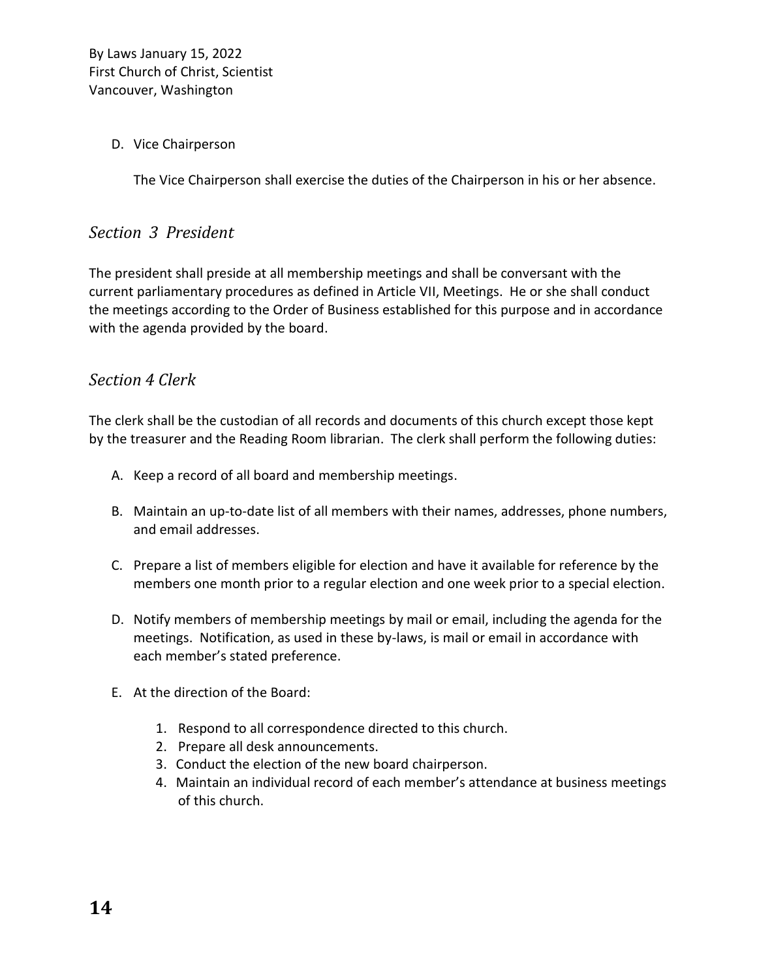#### D. Vice Chairperson

The Vice Chairperson shall exercise the duties of the Chairperson in his or her absence.

#### <span id="page-13-0"></span>*Section 3 President*

The president shall preside at all membership meetings and shall be conversant with the current parliamentary procedures as defined in Article VII, Meetings. He or she shall conduct the meetings according to the Order of Business established for this purpose and in accordance with the agenda provided by the board.

#### <span id="page-13-1"></span>*Section 4 Clerk*

The clerk shall be the custodian of all records and documents of this church except those kept by the treasurer and the Reading Room librarian. The clerk shall perform the following duties:

- A. Keep a record of all board and membership meetings.
- B. Maintain an up-to-date list of all members with their names, addresses, phone numbers, and email addresses.
- C. Prepare a list of members eligible for election and have it available for reference by the members one month prior to a regular election and one week prior to a special election.
- D. Notify members of membership meetings by mail or email, including the agenda for the meetings. Notification, as used in these by-laws, is mail or email in accordance with each member's stated preference.
- E. At the direction of the Board:
	- 1. Respond to all correspondence directed to this church.
	- 2. Prepare all desk announcements.
	- 3. Conduct the election of the new board chairperson.
	- 4. Maintain an individual record of each member's attendance at business meetings of this church.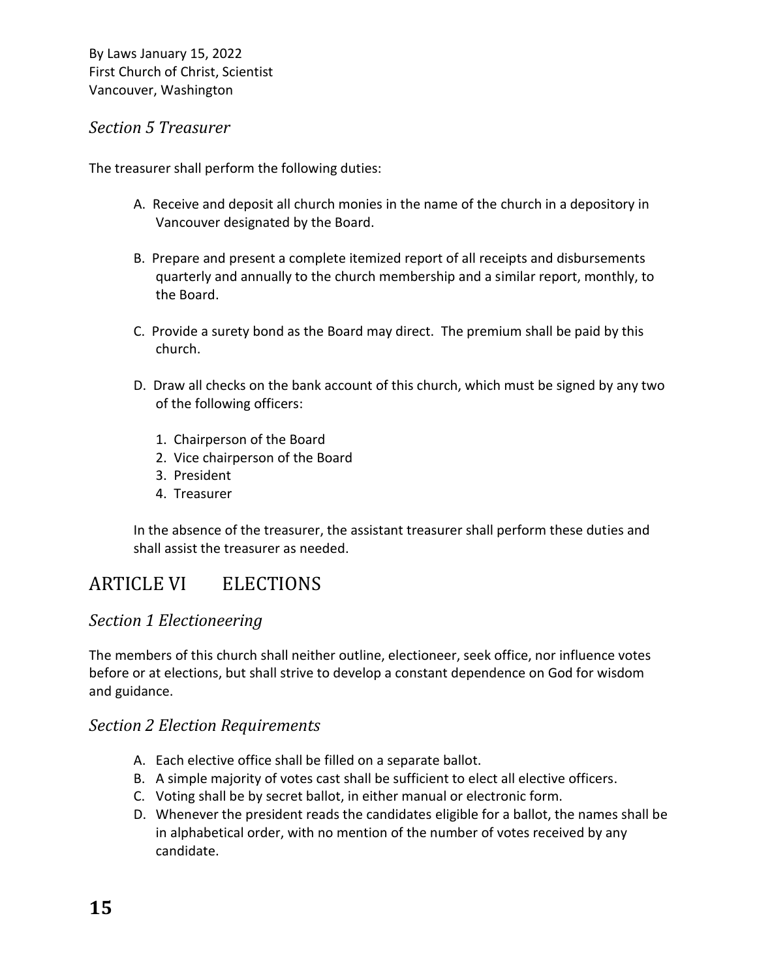### <span id="page-14-0"></span>*Section 5 Treasurer*

The treasurer shall perform the following duties:

- A. Receive and deposit all church monies in the name of the church in a depository in Vancouver designated by the Board.
- B. Prepare and present a complete itemized report of all receipts and disbursements quarterly and annually to the church membership and a similar report, monthly, to the Board.
- C. Provide a surety bond as the Board may direct. The premium shall be paid by this church.
- D. Draw all checks on the bank account of this church, which must be signed by any two of the following officers:
	- 1. Chairperson of the Board
	- 2. Vice chairperson of the Board
	- 3. President
	- 4. Treasurer

In the absence of the treasurer, the assistant treasurer shall perform these duties and shall assist the treasurer as needed.

## <span id="page-14-1"></span>ARTICLE VI ELECTIONS

### <span id="page-14-2"></span>*Section 1 Electioneering*

The members of this church shall neither outline, electioneer, seek office, nor influence votes before or at elections, but shall strive to develop a constant dependence on God for wisdom and guidance.

### <span id="page-14-3"></span>*Section 2 Election Requirements*

- A. Each elective office shall be filled on a separate ballot.
- B. A simple majority of votes cast shall be sufficient to elect all elective officers.
- C. Voting shall be by secret ballot, in either manual or electronic form.
- D. Whenever the president reads the candidates eligible for a ballot, the names shall be in alphabetical order, with no mention of the number of votes received by any candidate.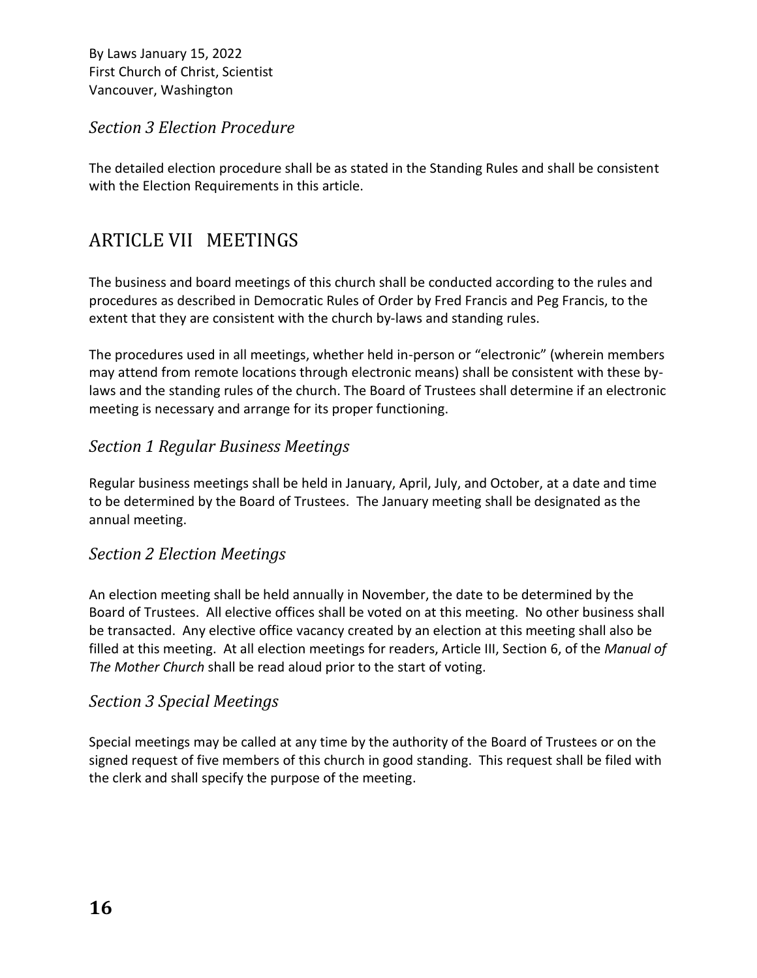### <span id="page-15-0"></span>*Section 3 Election Procedure*

The detailed election procedure shall be as stated in the Standing Rules and shall be consistent with the Election Requirements in this article.

## <span id="page-15-1"></span>ARTICLE VII MEETINGS

The business and board meetings of this church shall be conducted according to the rules and procedures as described in Democratic Rules of Order by Fred Francis and Peg Francis, to the extent that they are consistent with the church by-laws and standing rules.

The procedures used in all meetings, whether held in-person or "electronic" (wherein members may attend from remote locations through electronic means) shall be consistent with these bylaws and the standing rules of the church. The Board of Trustees shall determine if an electronic meeting is necessary and arrange for its proper functioning.

### *Section 1 Regular Business Meetings*

Regular business meetings shall be held in January, April, July, and October, at a date and time to be determined by the Board of Trustees. The January meeting shall be designated as the annual meeting.

#### <span id="page-15-2"></span>*Section 2 Election Meetings*

An election meeting shall be held annually in November, the date to be determined by the Board of Trustees. All elective offices shall be voted on at this meeting. No other business shall be transacted. Any elective office vacancy created by an election at this meeting shall also be filled at this meeting. At all election meetings for readers, Article III, Section 6, of the *Manual of The Mother Church* shall be read aloud prior to the start of voting.

#### <span id="page-15-3"></span>*Section 3 Special Meetings*

Special meetings may be called at any time by the authority of the Board of Trustees or on the signed request of five members of this church in good standing. This request shall be filed with the clerk and shall specify the purpose of the meeting.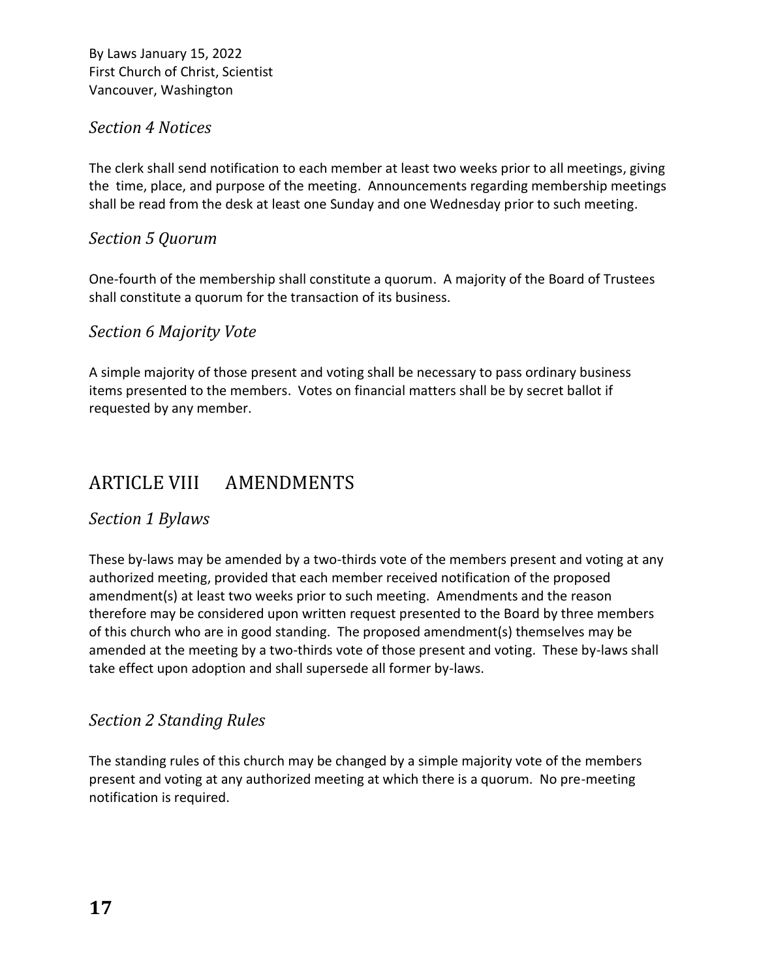### <span id="page-16-0"></span>*Section 4 Notices*

The clerk shall send notification to each member at least two weeks prior to all meetings, giving the time, place, and purpose of the meeting. Announcements regarding membership meetings shall be read from the desk at least one Sunday and one Wednesday prior to such meeting.

### <span id="page-16-1"></span>*Section 5 Quorum*

One-fourth of the membership shall constitute a quorum. A majority of the Board of Trustees shall constitute a quorum for the transaction of its business.

### <span id="page-16-2"></span>*Section 6 Majority Vote*

A simple majority of those present and voting shall be necessary to pass ordinary business items presented to the members. Votes on financial matters shall be by secret ballot if requested by any member.

## <span id="page-16-3"></span>ARTICLE VIII AMENDMENTS

### <span id="page-16-4"></span>*Section 1 Bylaws*

These by-laws may be amended by a two-thirds vote of the members present and voting at any authorized meeting, provided that each member received notification of the proposed amendment(s) at least two weeks prior to such meeting. Amendments and the reason therefore may be considered upon written request presented to the Board by three members of this church who are in good standing. The proposed amendment(s) themselves may be amended at the meeting by a two-thirds vote of those present and voting. These by-laws shall take effect upon adoption and shall supersede all former by-laws.

### <span id="page-16-5"></span>*Section 2 Standing Rules*

The standing rules of this church may be changed by a simple majority vote of the members present and voting at any authorized meeting at which there is a quorum. No pre-meeting notification is required.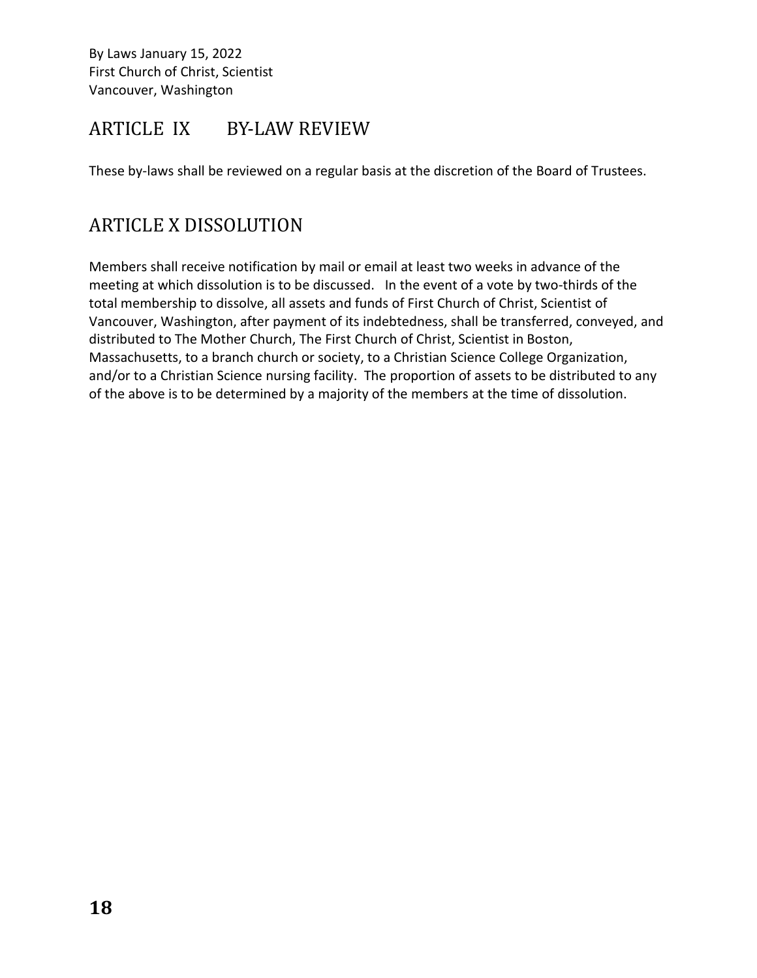### <span id="page-17-0"></span>ARTICLE IX BY-LAW REVIEW

These by-laws shall be reviewed on a regular basis at the discretion of the Board of Trustees.

## <span id="page-17-1"></span>ARTICLE X DISSOLUTION

Members shall receive notification by mail or email at least two weeks in advance of the meeting at which dissolution is to be discussed. In the event of a vote by two-thirds of the total membership to dissolve, all assets and funds of First Church of Christ, Scientist of Vancouver, Washington, after payment of its indebtedness, shall be transferred, conveyed, and distributed to The Mother Church, The First Church of Christ, Scientist in Boston, Massachusetts, to a branch church or society, to a Christian Science College Organization, and/or to a Christian Science nursing facility. The proportion of assets to be distributed to any of the above is to be determined by a majority of the members at the time of dissolution.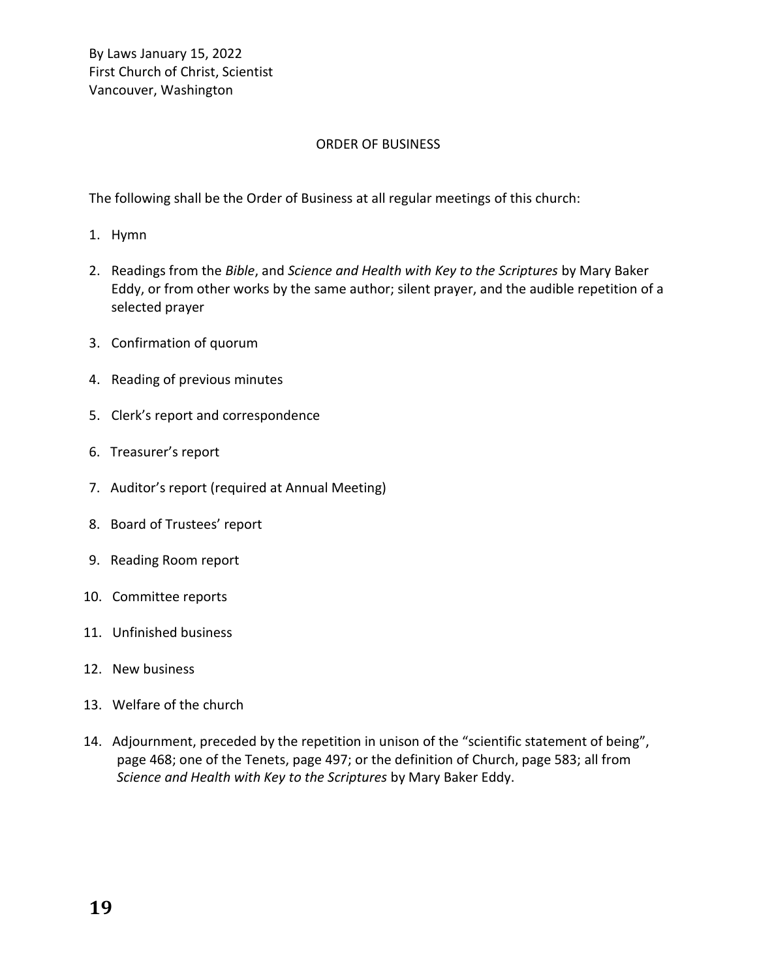#### ORDER OF BUSINESS

The following shall be the Order of Business at all regular meetings of this church:

- 1. Hymn
- 2. Readings from the *Bible*, and *Science and Health with Key to the Scriptures* by Mary Baker Eddy, or from other works by the same author; silent prayer, and the audible repetition of a selected prayer
- 3. Confirmation of quorum
- 4. Reading of previous minutes
- 5. Clerk's report and correspondence
- 6. Treasurer's report
- 7. Auditor's report (required at Annual Meeting)
- 8. Board of Trustees' report
- 9. Reading Room report
- 10. Committee reports
- 11. Unfinished business
- 12. New business
- 13. Welfare of the church
- 14. Adjournment, preceded by the repetition in unison of the "scientific statement of being", page 468; one of the Tenets, page 497; or the definition of Church, page 583; all from *Science and Health with Key to the Scriptures* by Mary Baker Eddy.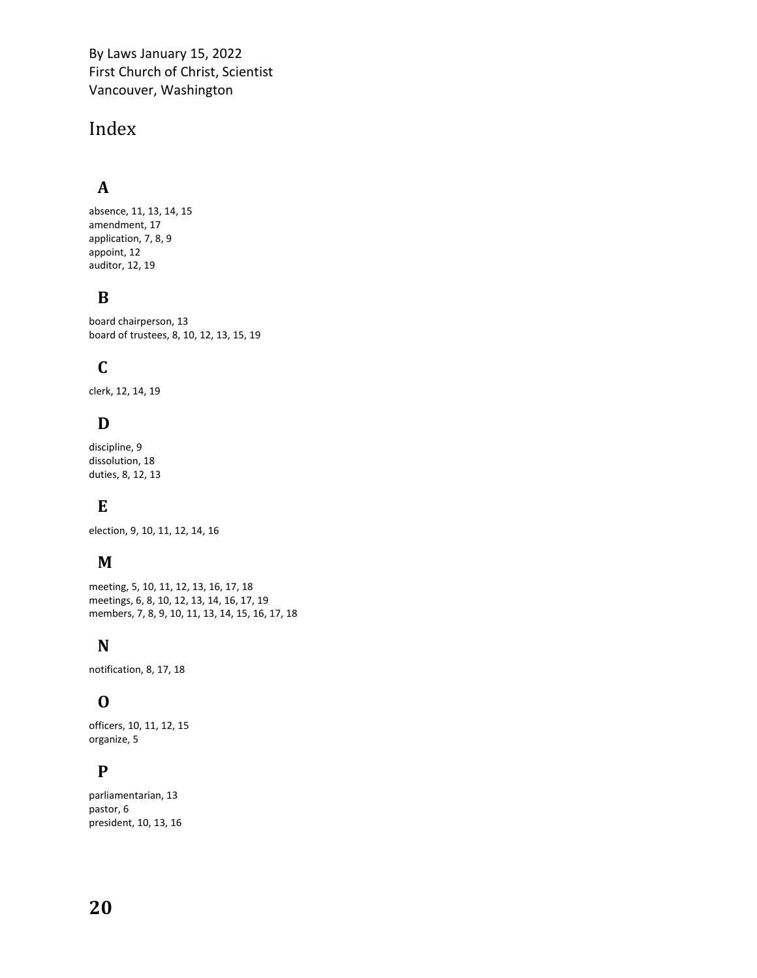## <span id="page-19-0"></span>Index

### **A**

absence, 11, 13, 14, 15 amendment, 17 application, 7, 8, 9 appoint, 12 auditor, 12, 19

### **B**

board chairperson, 13 board of trustees, 8, 10, 12, 13, 15, 19

### **C**

clerk, 12, 14, 19

### **D**

discipline, 9 dissolution, 18 duties, 8, 12, 13

### **E**

election, 9, 10, 11, 12, 14, 16

### **M**

meeting, 5, 10, 11, 12, 13, 16, 17, 18 meetings, 6, 8, 10, 12, 13, 14, 16, 17, 19 members, 7, 8, 9, 10, 11, 13, 14, 15, 16, 17, 18

### **N**

notification, 8, 17, 18

### **O**

officers, 10, 11, 12, 15 organize, 5

### **P**

parliamentarian, 13 pastor, 6 president, 10, 13, 16